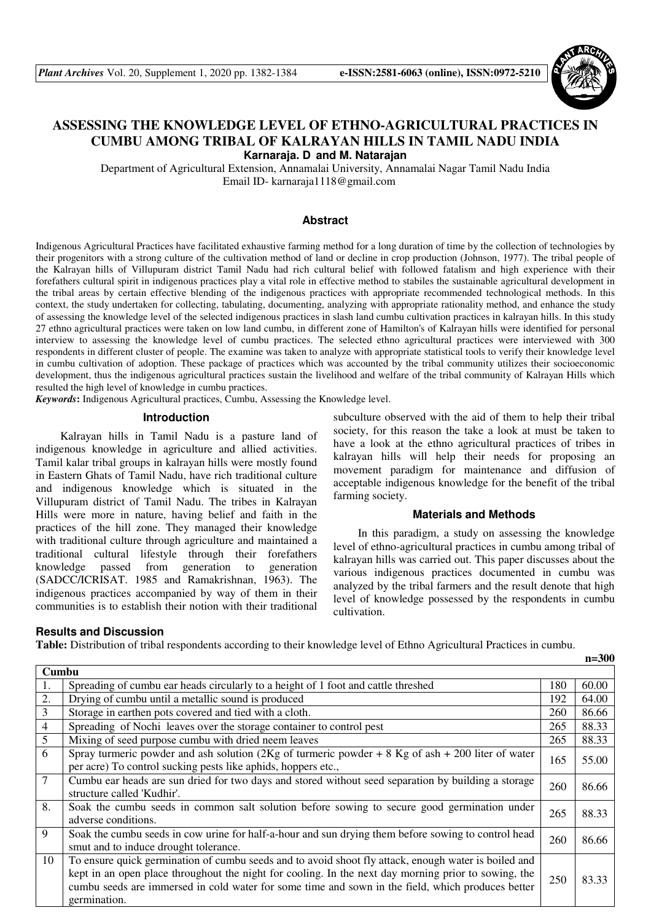

## **ASSESSING THE KNOWLEDGE LEVEL OF ETHNO-AGRICULTURAL PRACTICES IN CUMBU AMONG TRIBAL OF KALRAYAN HILLS IN TAMIL NADU INDIA Karnaraja. D and M. Natarajan**

Department of Agricultural Extension, Annamalai University, Annamalai Nagar Tamil Nadu India Email ID- karnaraja1118@gmail.com

#### **Abstract**

Indigenous Agricultural Practices have facilitated exhaustive farming method for a long duration of time by the collection of technologies by their progenitors with a strong culture of the cultivation method of land or decline in crop production (Johnson, 1977). The tribal people of the Kalrayan hills of Villupuram district Tamil Nadu had rich cultural belief with followed fatalism and high experience with their forefathers cultural spirit in indigenous practices play a vital role in effective method to stabiles the sustainable agricultural development in the tribal areas by certain effective blending of the indigenous practices with appropriate recommended technological methods. In this context, the study undertaken for collecting, tabulating, documenting, analyzing with appropriate rationality method, and enhance the study of assessing the knowledge level of the selected indigenous practices in slash land cumbu cultivation practices in kalrayan hills. In this study 27 ethno agricultural practices were taken on low land cumbu, in different zone of Hamilton's of Kalrayan hills were identified for personal interview to assessing the knowledge level of cumbu practices. The selected ethno agricultural practices were interviewed with 300 respondents in different cluster of people. The examine was taken to analyze with appropriate statistical tools to verify their knowledge level in cumbu cultivation of adoption. These package of practices which was accounted by the tribal community utilizes their socioeconomic development, thus the indigenous agricultural practices sustain the livelihood and welfare of the tribal community of Kalrayan Hills which resulted the high level of knowledge in cumbu practices.

*Keywords***:** Indigenous Agricultural practices, Cumbu, Assessing the Knowledge level.

#### **Introduction**

Kalrayan hills in Tamil Nadu is a pasture land of indigenous knowledge in agriculture and allied activities. Tamil kalar tribal groups in kalrayan hills were mostly found in Eastern Ghats of Tamil Nadu, have rich traditional culture and indigenous knowledge which is situated in the Villupuram district of Tamil Nadu. The tribes in Kalrayan Hills were more in nature, having belief and faith in the practices of the hill zone. They managed their knowledge with traditional culture through agriculture and maintained a traditional cultural lifestyle through their forefathers knowledge passed from generation to generation (SADCC/ICRISAT. 1985 and Ramakrishnan, 1963). The indigenous practices accompanied by way of them in their communities is to establish their notion with their traditional

# farming society. **Materials and Methods**  In this paradigm, a study on assessing the knowledge

level of ethno-agricultural practices in cumbu among tribal of kalrayan hills was carried out. This paper discusses about the various indigenous practices documented in cumbu was analyzed by the tribal farmers and the result denote that high level of knowledge possessed by the respondents in cumbu cultivation.

subculture observed with the aid of them to help their tribal society, for this reason the take a look at must be taken to have a look at the ethno agricultural practices of tribes in kalrayan hills will help their needs for proposing an movement paradigm for maintenance and diffusion of acceptable indigenous knowledge for the benefit of the tribal

## **Results and Discussion**

**Table:** Distribution of tribal respondents according to their knowledge level of Ethno Agricultural Practices in cumbu.

| Cumbu          |                                                                                                                                                                                                                                                                                                                                   |     |       |  |  |
|----------------|-----------------------------------------------------------------------------------------------------------------------------------------------------------------------------------------------------------------------------------------------------------------------------------------------------------------------------------|-----|-------|--|--|
|                | Spreading of cumbu ear heads circularly to a height of 1 foot and cattle threshed                                                                                                                                                                                                                                                 | 180 | 60.00 |  |  |
| 2.             | Drying of cumbu until a metallic sound is produced                                                                                                                                                                                                                                                                                | 192 | 64.00 |  |  |
| $\mathfrak{Z}$ | Storage in earthen pots covered and tied with a cloth.                                                                                                                                                                                                                                                                            | 260 | 86.66 |  |  |
| $\overline{4}$ | Spreading of Nochi leaves over the storage container to control pest                                                                                                                                                                                                                                                              | 265 | 88.33 |  |  |
| $\overline{5}$ | Mixing of seed purpose cumbu with dried neem leaves                                                                                                                                                                                                                                                                               | 265 | 88.33 |  |  |
| 6              | Spray turneric powder and ash solution (2Kg of turneric powder + 8 Kg of ash + 200 liter of water<br>per acre) To control sucking pests like aphids, hoppers etc.,                                                                                                                                                                | 165 | 55.00 |  |  |
| $\overline{7}$ | Cumbu ear heads are sun dried for two days and stored without seed separation by building a storage<br>structure called 'Kudhir'.                                                                                                                                                                                                 | 260 | 86.66 |  |  |
| 8.             | Soak the cumbu seeds in common salt solution before sowing to secure good germination under<br>adverse conditions.                                                                                                                                                                                                                | 265 | 88.33 |  |  |
| 9              | Soak the cumbu seeds in cow urine for half-a-hour and sun drying them before sowing to control head<br>smut and to induce drought tolerance.                                                                                                                                                                                      | 260 | 86.66 |  |  |
| 10             | To ensure quick germination of cumbu seeds and to avoid shoot fly attack, enough water is boiled and<br>kept in an open place throughout the night for cooling. In the next day morning prior to sowing, the<br>cumbu seeds are immersed in cold water for some time and sown in the field, which produces better<br>germination. | 250 | 83.33 |  |  |

 **n=300**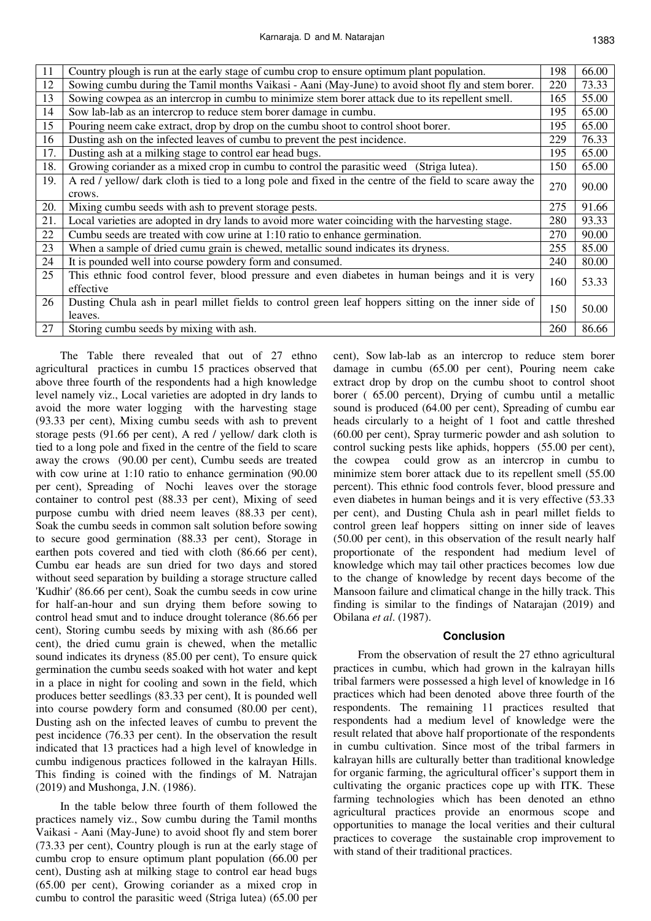| 11  | Country plough is run at the early stage of cumbu crop to ensure optimum plant population.               | 198 | 66.00 |
|-----|----------------------------------------------------------------------------------------------------------|-----|-------|
| 12  | Sowing cumbu during the Tamil months Vaikasi - Aani (May-June) to avoid shoot fly and stem borer.        | 220 | 73.33 |
| 13  | Sowing cowpea as an intercrop in cumbu to minimize stem borer attack due to its repellent smell.         | 165 | 55.00 |
| 14  | Sow lab-lab as an intercrop to reduce stem borer damage in cumbu.                                        | 195 | 65.00 |
| 15  | Pouring neem cake extract, drop by drop on the cumbu shoot to control shoot borer.                       | 195 | 65.00 |
| 16  | Dusting ash on the infected leaves of cumbu to prevent the pest incidence.                               | 229 | 76.33 |
| 17. | Dusting ash at a milking stage to control ear head bugs.                                                 | 195 | 65.00 |
| 18. | Growing coriander as a mixed crop in cumbu to control the parasitic weed (Striga lutea).                 | 150 | 65.00 |
| 19. | A red / yellow/ dark cloth is tied to a long pole and fixed in the centre of the field to scare away the | 270 | 90.00 |
|     | crows.                                                                                                   |     |       |
| 20. | Mixing cumbu seeds with ash to prevent storage pests.                                                    | 275 | 91.66 |
| 21. | Local varieties are adopted in dry lands to avoid more water coinciding with the harvesting stage.       | 280 | 93.33 |
| 22  | Cumbu seeds are treated with cow urine at 1:10 ratio to enhance germination.                             | 270 | 90.00 |
| 23  | When a sample of dried cumu grain is chewed, metallic sound indicates its dryness.                       | 255 | 85.00 |
| 24  | It is pounded well into course powdery form and consumed.                                                | 240 | 80.00 |
| 25  | This ethnic food control fever, blood pressure and even diabetes in human beings and it is very          | 160 | 53.33 |
|     | effective                                                                                                |     |       |
| 26  | Dusting Chula ash in pearl millet fields to control green leaf hoppers sitting on the inner side of      | 150 | 50.00 |
|     | leaves.                                                                                                  |     |       |
| 27  | Storing cumbu seeds by mixing with ash.                                                                  | 260 | 86.66 |

The Table there revealed that out of 27 ethno agricultural practices in cumbu 15 practices observed that above three fourth of the respondents had a high knowledge level namely viz., Local varieties are adopted in dry lands to avoid the more water logging with the harvesting stage (93.33 per cent), Mixing cumbu seeds with ash to prevent storage pests (91.66 per cent), A red / yellow/ dark cloth is tied to a long pole and fixed in the centre of the field to scare away the crows (90.00 per cent), Cumbu seeds are treated with cow urine at 1:10 ratio to enhance germination (90.00 per cent), Spreading of Nochi leaves over the storage container to control pest (88.33 per cent), Mixing of seed purpose cumbu with dried neem leaves (88.33 per cent), Soak the cumbu seeds in common salt solution before sowing to secure good germination (88.33 per cent), Storage in earthen pots covered and tied with cloth (86.66 per cent), Cumbu ear heads are sun dried for two days and stored without seed separation by building a storage structure called 'Kudhir' (86.66 per cent), Soak the cumbu seeds in cow urine for half-an-hour and sun drying them before sowing to control head smut and to induce drought tolerance (86.66 per cent), Storing cumbu seeds by mixing with ash (86.66 per cent), the dried cumu grain is chewed, when the metallic sound indicates its dryness (85.00 per cent), To ensure quick germination the cumbu seeds soaked with hot water and kept in a place in night for cooling and sown in the field, which produces better seedlings (83.33 per cent), It is pounded well into course powdery form and consumed (80.00 per cent), Dusting ash on the infected leaves of cumbu to prevent the pest incidence (76.33 per cent). In the observation the result indicated that 13 practices had a high level of knowledge in cumbu indigenous practices followed in the kalrayan Hills. This finding is coined with the findings of M. Natrajan (2019) and Mushonga, J.N. (1986).

In the table below three fourth of them followed the practices namely viz., Sow cumbu during the Tamil months Vaikasi - Aani (May-June) to avoid shoot fly and stem borer (73.33 per cent), Country plough is run at the early stage of cumbu crop to ensure optimum plant population (66.00 per cent), Dusting ash at milking stage to control ear head bugs (65.00 per cent), Growing coriander as a mixed crop in cumbu to control the parasitic weed (Striga lutea) (65.00 per

cent), Sow lab-lab as an intercrop to reduce stem borer damage in cumbu (65.00 per cent), Pouring neem cake extract drop by drop on the cumbu shoot to control shoot borer ( 65.00 percent), Drying of cumbu until a metallic sound is produced (64.00 per cent), Spreading of cumbu ear heads circularly to a height of 1 foot and cattle threshed (60.00 per cent), Spray turmeric powder and ash solution to control sucking pests like aphids, hoppers (55.00 per cent), the cowpea could grow as an intercrop in cumbu to minimize stem borer attack due to its repellent smell (55.00 percent). This ethnic food controls fever, blood pressure and even diabetes in human beings and it is very effective (53.33 per cent), and Dusting Chula ash in pearl millet fields to control green leaf hoppers sitting on inner side of leaves (50.00 per cent), in this observation of the result nearly half proportionate of the respondent had medium level of knowledge which may tail other practices becomes low due to the change of knowledge by recent days become of the Mansoon failure and climatical change in the hilly track. This finding is similar to the findings of Natarajan (2019) and Obilana *et al*. (1987).

#### **Conclusion**

From the observation of result the 27 ethno agricultural practices in cumbu, which had grown in the kalrayan hills tribal farmers were possessed a high level of knowledge in 16 practices which had been denoted above three fourth of the respondents. The remaining 11 practices resulted that respondents had a medium level of knowledge were the result related that above half proportionate of the respondents in cumbu cultivation. Since most of the tribal farmers in kalrayan hills are culturally better than traditional knowledge for organic farming, the agricultural officer's support them in cultivating the organic practices cope up with ITK. These farming technologies which has been denoted an ethno agricultural practices provide an enormous scope and opportunities to manage the local verities and their cultural practices to coverage the sustainable crop improvement to with stand of their traditional practices.